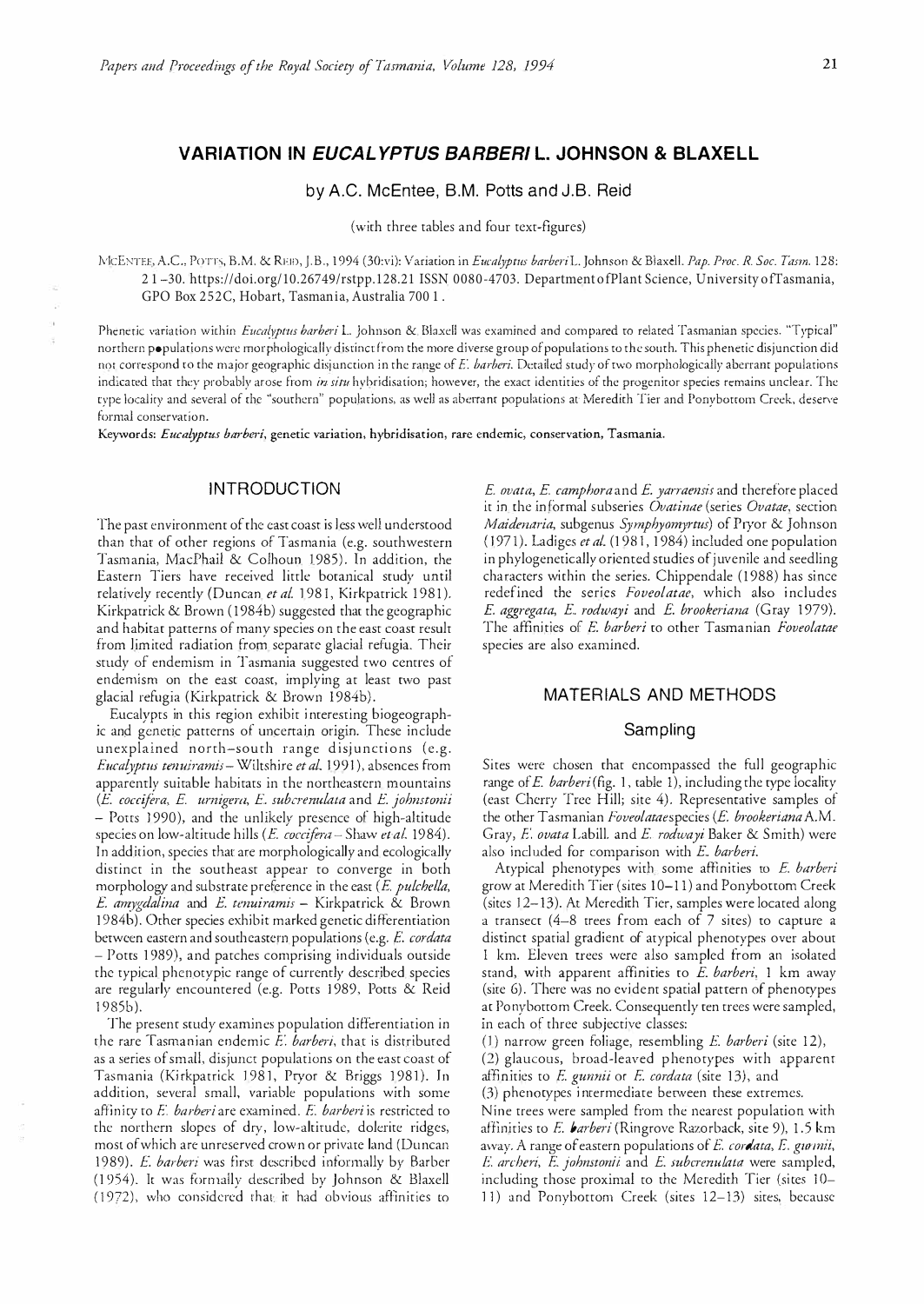# **VARIATION IN** *EUCALYPTUS BARBERI L.* **JOHNSON** & **BLAXELL**

## by A.C. McEntee, B.M. Potts and J.B. Reid

(with three tables and four text-figures)

lVlcE:--;-TFE, A.C., PoTh, B.M. & RF.I!), J.B., 1 994 (30:vi): Variation in *Eucalyptus barberiL.* Johnson & Blaxel!. *Pap. Proc. R. Soc. Ttmn.* 128: 2 1 �30. https://doi.org/10.26749/rstpp.128.21 ISSN 0080-4703. Department of Plant Science, University of Tasmania, GPO Box 252C, Hobart, Tasmania, Australia 700 1 .

Phenetic variation within *Eucalyptus barberi* L. Johnson & Blaxell was examined and compared to related Tasmanian species. "Typical" northern populations were morphologically distincr from the more diverse group of populations to the south. This phenetic disjunction did not correspond to the major geographic disjunction in the range of E. barberi. Detailed study of two morphologically aberrant populations indicated that they probably arose from in situ hybridisation; however, the exact identities of the progenitor species remains unclear. The type locality and several of the "southern" populations, as well as abertant populations at Meredith Tier and Ponybottom Creek, deserve formal conservation.

Keywords: *Eucalyptus barberi,* genetic variation, hybridisation, rare endemic, conservation, Tasmania.

## **INTRODUCTION**

The past environment of the east coast is less well understood than thar of other regions of Tasmania (e.g. southwestern Tasmania, MacPhail & Colhoun 1985). In addition, the Eastern Tiers have received little botanical study until relatively recently (Duncan et al. 1981, Kirkpatrick 1981). Kirkpatrick & Brown (1984b) suggested that the geographic and habitat patterns of many species on the east coast result from limited radiation from separate glacial refugia. Their study of endemism in Tasmania suggested two centres of endemism on the east coast, implying at least two past glacial refugia (Kirkpatrick & Brown 1984b).

Eucalypts in this region exhibit interesting biogeographic and genetic patterns of uncertain origin. These include unexplained north-south range disjunctions (e.g. *Eucalyptus tenuiramis* - Wiltshire et al. 1991), absences from apparently suitable habitats in the northeastern mountains *(E coccijera, E umigen1, E. subc<sup>r</sup> enulata* and *E johnstonii* - Potts 1990), and the unlikely presence of high-altitude species on low-altitude hills (E. coccifera-Shaw et al. 1984). In addition, species that are morphologically and ecologically distinct in the southeast appear to converge in both morphology and substrate preference in the east *(E. pulchella, E amygdalina* and *E tenuiramis* - Kirkpatrick & Brown 1 984b). Other species exhibit marked genetic di fferentiation between eastern and southeastern populations (e.g. *E cordata* - Potts 1 989), and patches comprising individuals outside the typical phcnorypic range of currcnrly described species are regularly encountered (e.g. Potts 1989, Potts & Reid 1 9 85b).

The present study examines population differentiation in the rare Tasma nian endemic E. *barberi,* that is distributed as a series of small, disjunct populations on the east coast of Tasmania (Kirkpatrick 1981, Pryor & Briggs 1981). In addition, several small, variable populations with some affinity to E. barberi are examined. E. barberi is restricted to the northern slopes of dry, low-alrirudc, dolerite ridges, most of which are unreserved crown or private land (Duncan 1989). *E. barberi* was first described informally by Barber (1954). It was formally described by Johnson & Blaxell (1972), who considered rhat ir had obvious affinities to

E. *ovata, E. camphora* and E *yarraensis* and therefore placed it in the in formal subseries *Ovatinae* (series *Ovatae,* section *Maidenaria,* subgenus *Symphyomyrtus)* of Pryor & Johnson (197 1). Ladigcs *et a/.* (1 98 1 , 1 984) included one population in phylogenetically oriented studies of juvenile and seedling characters within the series. Chippendale (1988) has since redefined the series *Foveolatae*, which also includes *E. aggregata, E. rodwayi* and *E. brookeriana* (Gray 1979). The affinities of E. *barberi* to other Tasmanian *Foveolatae* species are also examined.

#### MATERIALS AND METHODS

### Sampling

Sites were chosen that encompassed the full geographic range *ofE barberi(fig.* 1, table 1), including the typc locality (east Cherry Tree Hill; site 4). Representative samples of the other Tasmanian *f0veolataespecies* (E. *brookerianaA.M.*  Gray, E. *ovata* Labill. and *E. rodwayi* Baker & Smith) were also included for comparison with *E. barberi.* 

Atypical phenotypes with some affinities to *E. barberi*  grow at Meredith Tier (sites 1 0-1 1) and Ponybottom Creek (sites 12–13). At Meredith Tier, samples were located along a transect (4-8 trees from each of 7 sires) to capture a distinct spatial gradient of atypical phenotypes over about I km. Eleven trees were also sampled from an isolated stand, wirh apparent affinities to *E. barberi,* l km away (site 6). There was no evident spatial pattern of phenotypes at Ponybottom Creek. Consequently ten trees were sampled, in each of three subjective classes:

(1) narrow green foliage, resembling *E. barberi* (site 12),

(2) glaucous, broad-leaved p henotypes with apparent affinities to *E. gunnii* or *E. cordata* (site 13), and

(3) phenotypes i ntermediate benveen these extremes.

Nine trees were sampled from the nearest population with affinities to E. *barberi* (Ringrove Razorback, site 9), 1 .5 km a\vay. A range of eastern populations of E. *cordata,* E. *gurmii, E. archeri,* E. *johnstonii* and *E. subcrenulata* were sampled, including those proximal to the Meredith Tier (sites 10-11) and Ponybottom Creek (sites 12-13) sites, because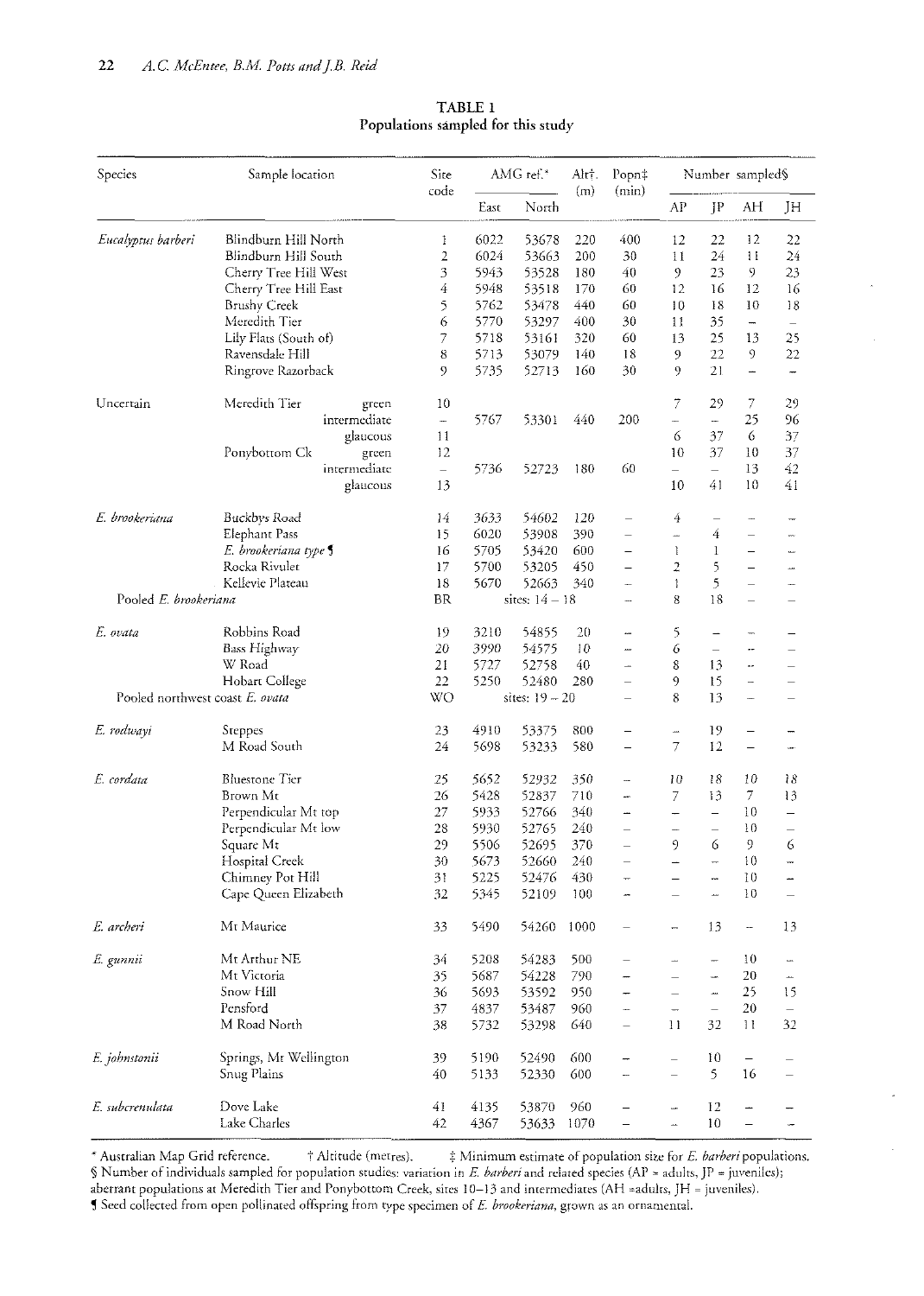| Species                         | Sample location        | Site<br>code   | AMG ref.* |                  | AltT.<br>(m) | Popn‡<br>(min)           | Number sampled§          |                          |                          |                          |
|---------------------------------|------------------------|----------------|-----------|------------------|--------------|--------------------------|--------------------------|--------------------------|--------------------------|--------------------------|
|                                 |                        |                | East      | North            |              |                          | AP                       | JP                       | AH                       | JH                       |
| Eucalyptus barberi              | Blindburn Hill North   | 1              | 6022      | 53678            | 220          | 400                      | 12                       | 22                       | 12                       | 22                       |
|                                 | Blindburn Hill South   | $\overline{2}$ | 6024      | 53663            | 200          | 30                       | 11                       | 24                       | $\mathbf{1}$             | 24                       |
|                                 | Cherry Tree Hill West  | 3              | 5943      | 53528            | 180          | 40                       | $\mathfrak{g}$           | 23                       | 9                        | 23                       |
|                                 | Cherry Tree Hill East  | 4              | 5948      | 53518            | 170          | 60                       | 12                       | 16                       | 12                       | 16                       |
|                                 | Brushy Creek           | 5              | 5762      | 53478            | 440          | 60                       | 10                       | 18                       | 10                       | 18                       |
|                                 | Meredith Tier          | 6              | 5770      | 53297            | 400          | 30                       | 11                       | 35                       | $\overline{ }$           | $\overline{\phantom{0}}$ |
|                                 | Lily Flats (South of)  | 7              | 5718      | 53161            | 320          | 60                       | 13                       | 25                       | 13                       | 25                       |
|                                 | Ravensdale Hill        | 8              | 5713      | 53079            | 140          | 18                       | 9                        | 22                       | 9                        | 22                       |
|                                 | Ringrove Razorback     | 9              | 5735      | 52713            | 160          | 30                       | 9.                       | 21                       | $\overline{\phantom{0}}$ | $\overline{ }$           |
| Uncertain                       | Meredith Tier<br>green | 10             |           |                  |              |                          | 7                        | 29                       | 7                        | 29                       |
|                                 | intermediate           |                | 5767      | 53301            | 440          | 200                      | ÷,                       | -                        | 25                       | 96                       |
|                                 | glaucous               | 11             |           |                  |              |                          | 6                        | 37                       | 6                        | 37                       |
|                                 | Ponybottom Ck<br>green | 12             |           |                  |              |                          | 10                       | 37                       | 10                       | 37                       |
|                                 | intermediate           | $\equiv$       | 5736      | 52723            | 180          | 60                       | $\equiv$                 | $\equiv$                 | 13                       | 42                       |
|                                 | glaucous               | 13             |           |                  |              |                          | 10                       | 41                       | 10                       | 41                       |
| E. brookeriana                  | Buckbys Road           | 14             | 3633      | 54602            | 120          | $\overline{\phantom{0}}$ | 4                        | $\overline{\phantom{0}}$ | ÷                        | m                        |
|                                 | Elephant Pass          | 15             | 6020      | 53908            | 390          | $\overline{\phantom{0}}$ | <u></u>                  | 4                        | $\overline{\phantom{0}}$ |                          |
|                                 | E. brookeriana type    | 16             | 5705      | 53420            | 600          | $\overline{\phantom{0}}$ | $\mathbf{1}$             | 1                        | $\equiv$                 | ÷,                       |
|                                 | Rocka Rivulet          | 17             | 5700      | 53205            | 450          |                          | $\overline{2}$           | 5                        | $\equiv$                 |                          |
|                                 |                        | 18             |           | 52663            |              | $\qquad \qquad -$        |                          |                          |                          | --                       |
| Kellevie Plateau                |                        |                | 5670      |                  | 340          | $\overline{\phantom{0}}$ | 1                        | 5                        | $\equiv$                 | ÷                        |
| Pooled E. brookeriana           |                        | <b>BR</b>      |           | sites: $14 - 18$ |              |                          | 8                        | 18                       | $\overline{\phantom{0}}$ |                          |
| E. ovata                        | Robbins Road           | 19             | 3210      | 54855            | 20           | $\overline{\phantom{a}}$ | 5                        | $\overline{\phantom{0}}$ | -                        |                          |
|                                 | Bass Highway           | 20             | 3990      | 54575            | 10           | <b></b>                  | 6                        | $\qquad \qquad -$        | $\overline{a}$           |                          |
|                                 | W Road                 | 21             | 5727      | 52758            | 40           | ÷,                       | 8                        | 13                       | u.                       |                          |
|                                 | Hobart College         | 22             | 5250      | 52480            | 280          | $\equiv$                 | 9                        | 15                       | u.                       |                          |
| Pooled northwest coast E. ovata |                        | WO             |           | sites: $19 - 20$ |              | $\overline{\phantom{0}}$ | 8                        | 13                       | $\overline{\phantom{a}}$ | $\overline{\phantom{0}}$ |
| E. rodwayi                      | Steppes                | 23             | 4910      | 53375            | 800          | $\overline{\phantom{0}}$ | …                        | 19                       | $\overline{\phantom{m}}$ |                          |
|                                 | M Road South           | 24             | 5698      | 53233            | 580          | $\overline{\phantom{0}}$ | 7                        | 12                       | $\qquad \qquad -$        | www.                     |
| E. cordata                      | <b>Bluestone</b> Tier  | 25             | 5652      | 52932            | 350          | -                        | 10                       | 18                       | 10                       | 18                       |
|                                 | Brown Mt               | 26             | 5428      | 52837            | 710          | L.                       | 7                        | 13                       | $\mathcal{T}$            | 13                       |
|                                 | Perpendicular Mt top   | 27             | 5933      | 52766            | 340          | ÷,                       | $\overline{\phantom{0}}$ | $\equiv$                 | 10                       | $\overline{a}$           |
|                                 | Perpendicular Mt low   | 28             | 5930      | 52765            | 240          | $\overline{\phantom{0}}$ | $\overline{\phantom{a}}$ | $\overline{\phantom{0}}$ | 10                       | $\overline{\phantom{0}}$ |
|                                 | Square Mt              | 29             | 5506      | 52695            | 370          | $\overline{\phantom{0}}$ | 9                        | 6                        | 9                        | 6                        |
|                                 | Hospital Creek         | 30             | 5673      | 52660            | 240          | $\overline{\phantom{0}}$ |                          | ÷                        | 10                       |                          |
|                                 | Chimney Pot Hill       | 31             | 5225      | 52476            | 430          |                          |                          | m                        | $10\,$                   |                          |
|                                 | Cape Queen Elizabeth   | 32             | 5345      | 52109            | 100          | -                        | $\overline{\phantom{0}}$ | i.                       | 10                       | $\overline{\phantom{0}}$ |
| E. archeri                      | Mt Maurice             | 33             | 5490      | 54260            | 1000         | $\overline{\phantom{0}}$ | -                        | 13                       | $\overline{\phantom{a}}$ | 13                       |
| E gunnii                        | Mt Arthur NE           | 34             | 5208      | 54283            | 500          | $\qquad \qquad -$        | -                        | --                       | 10                       | ∽                        |
|                                 | Mt Victoria            | 35             | 5687      | 54228            | 790          | -                        |                          | -                        | 20                       |                          |
|                                 | Snow Hill              | 36             | 5693      | 53592            | 950          | -                        | $\equiv$                 | j.                       | 25                       | 15                       |
|                                 | Pensford               | 37             | 4837      | 53487            | 960          | ш,                       | $\overline{\phantom{0}}$ | $\equiv$                 | 20                       | $\equiv$                 |
|                                 | M Road North           | 38             | 5732      | 53298            | 640          | $\equiv$                 | 11                       | 32                       | $\mathbf{1}$             | 32                       |
| E. johnstonii                   | Springs, Mt Wellington | 39             | 5190      | 52490            | 600          | -                        | $\overline{\phantom{0}}$ | 10                       | $\overline{\phantom{0}}$ |                          |
|                                 | Snug Plains            | 40             | 5133      | 52330            | 600          | -                        | $\overline{\phantom{0}}$ | 5                        | 16                       | $\qquad \qquad -$        |
| E. subcrenulata                 | Dove Lake              | 41             | 4135      | 53870            | 960          |                          | -                        | 12                       | $\rightarrow$            |                          |
|                                 | Lake Charles           | 42             | 4367      | 53633            | 1070         |                          | u.                       | $10\,$                   | -                        | ÷                        |

TABLE 1 **Populations sampled for this study** 

\* Australian Map Grid reference. + Altitude (metres). + Minimum estimate of population size for *E. barberi* populations. § Number of individuals sampled for population studies: variation in *E. barberi* and related species (AP = adults, JP = juveniles); aberrant populations at Meredith Tier and Ponybottom Creek, sites  $10-13$  and intermediates (AH = adults, JH = juveniles). **5** Seed collected from open pollinated offspring from type specimen of E. brookeriana, grown as an ornamental.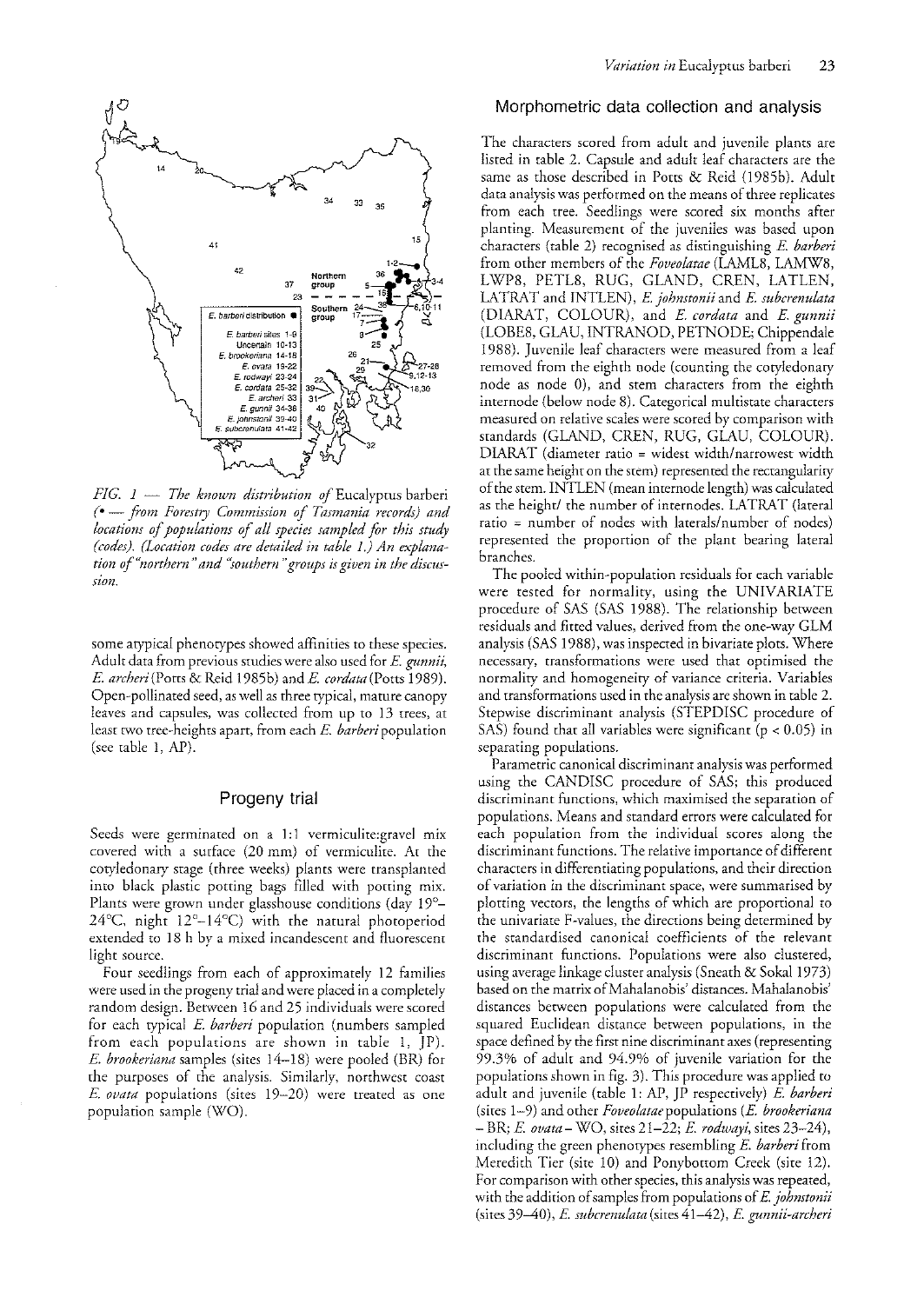

*FIG. 1 - The known distribution of Eucalyptus barberi* (- ~ *.from Forestry Commission of Tasmania records) and locations of populations of all species sampled for this stud), (codes). (Location codes are detailed in table* 1.) *An explanation of "northern* " *and "southern "groups is given in the discussIOn.* 

some atypical phenotypes showed affinities to these species. Adult data from previous studies were also used for E. *gunnii, E. archeri* (Porrs & Reid 1985b) and *E. cordata* (Ports 1989). Open-pollinated seed, as well as three typical, mature canopy leaves and capsules, was collected from up to 13 trees, at least two tree-heights apart, from each E. *barberi* population (see rable 1, AP).

### Progeny trial

Seeds were germinated on a 1:1 vermiculite: gravel mix covered with a surface (20 mm) of vermiculite. At the cotyledonary stage (three weeks) plants were transplanted into black plastic potting bags filled with potting mix. Plants were grown under glasshouse conditions (day 19°-24°C, night 12°\_14°C) with the natural photoperiod extended to 18 h by a mixed incandescent and fluorescent light source.

Four seedlings from each of approximately 12 families were used in the progeny trial and were placed in a completely random design. Between 16 and 25 individuals were scored for each typical E. *barberi* population (numbers sampled from each populations are shown in table 1, JP). *E. brookeriana* samples (sires 14-18) were pooled (BR) for the purposes of the analysis. Similarly, northwest coast *E. ovata* populations (sites 19-20) were treated as one popularion sample (WO).

### Morphometric data collection and analysis

The characters scored from adult and juvenile plants are listed in table 2. Capsule and adult leaf characters are the same as rhose described in Ports & Reid (J985b). Adulr data analysis was performed on the means of three replicates from each tree. Seedlings were scored six months after planting. Measurement of the juveniles was based upon characters (table 2) recognised as distinguishing E. *barberi*  from other members of the *Foveolatae* (LAML8, LAMW8, LWP8, PETLS, RUG, GLAND, CREN, LATLEN, LA TRA T and INTLEN), *E johnstonii* and *E. suberenulata*  (DlARA T, COLOUR), and *E. cordata* and *E. gunnii*  (LOBE8, GLAU, INTRANOD, PETNODE; Chippendale 1988). Juvenile leaf characters were measured from a leaf removed from the eighth node (counting the cotyledonary node as node 0), and stem characters from the eighth internode (below node 8). Categorical multistate characters measured on relative scales were scored by comparison with srandards (GLAND, CREN, RUG, GLAU, COLOUR). DIARAT (diameter ratio = widest width/narrowest width at the same height on the stem) represented the rectangularity of the stem. INTLEN (mean internode length) was calculated as the height/ the number of internodes. LATRAT (lateral ratio = number of nodes with laterals/number of nodes) represented the proportion of the plant bearing lateral branches.

The pooled within-population residuals for each variable were tested for normality, using the UNIVARIATE procedure of SAS (SAS 1988). The relarionship between residuals and fitted values, derived from the one-way GLM analysis (SAS 1988), was inspected in bivariate plots. Where necessary, transformations were used that optimised the normality and homogeneity of variance criteria. Variables and transformations used in the analysis are shown in table 2. Stepwise discriminant analysis (STEPDISC procedure of SAS) found that all variables were significant ( $p < 0.05$ ) in separating populations.

Parametric canonical discriminant analysis was performed using the CANDISC procedure of SAS; this produced discriminant functions, which maximised the separation of populations. Means and standard errors were calculated for each population from the individual scores along the discriminant functions. The relative importance of different characters in differentiating populations, and their direction of variation in the discriminant space, were summarised *by*  plotting vectors, the lengths of which are proportional to the univariate F-values, the directions being determined by the standardised canonical coefficients of the relevant discriminant functions. Populations were also clustered, using average linkage cluster analysis (Sneath & Sokal 1973) based on the matrix of Mahalanobis' distances. Mahalanobis' distances between populations were calculated from the squared Euclidean distance between populations, in the space defined by the first nine discriminant axes (representing 99.3% of adult and 94.9% of juvenile variation for the populations shown in fig. 3). This procedure was applied to adulr and juvenile (rable 1: AP, JP respecrively) *E. barberi*  (sites 1-9) and other *Foveolataepopulations* (E. *brookeriana*  - BR; *E ovata-* WO, sires 21-22; *E. rodwayi,* sires 23-24), including the green phenotypes resembling E. *barberi* from Meredith Tier (site 10) and Ponybottom Creek (site 12). For comparison with other species, this analysis was repeated, with the addition of samples from populations of *E johnstonii*  (sites 39-40), E. *subcrenulata* (sites 41 ~42), E. *gunnii-archeri*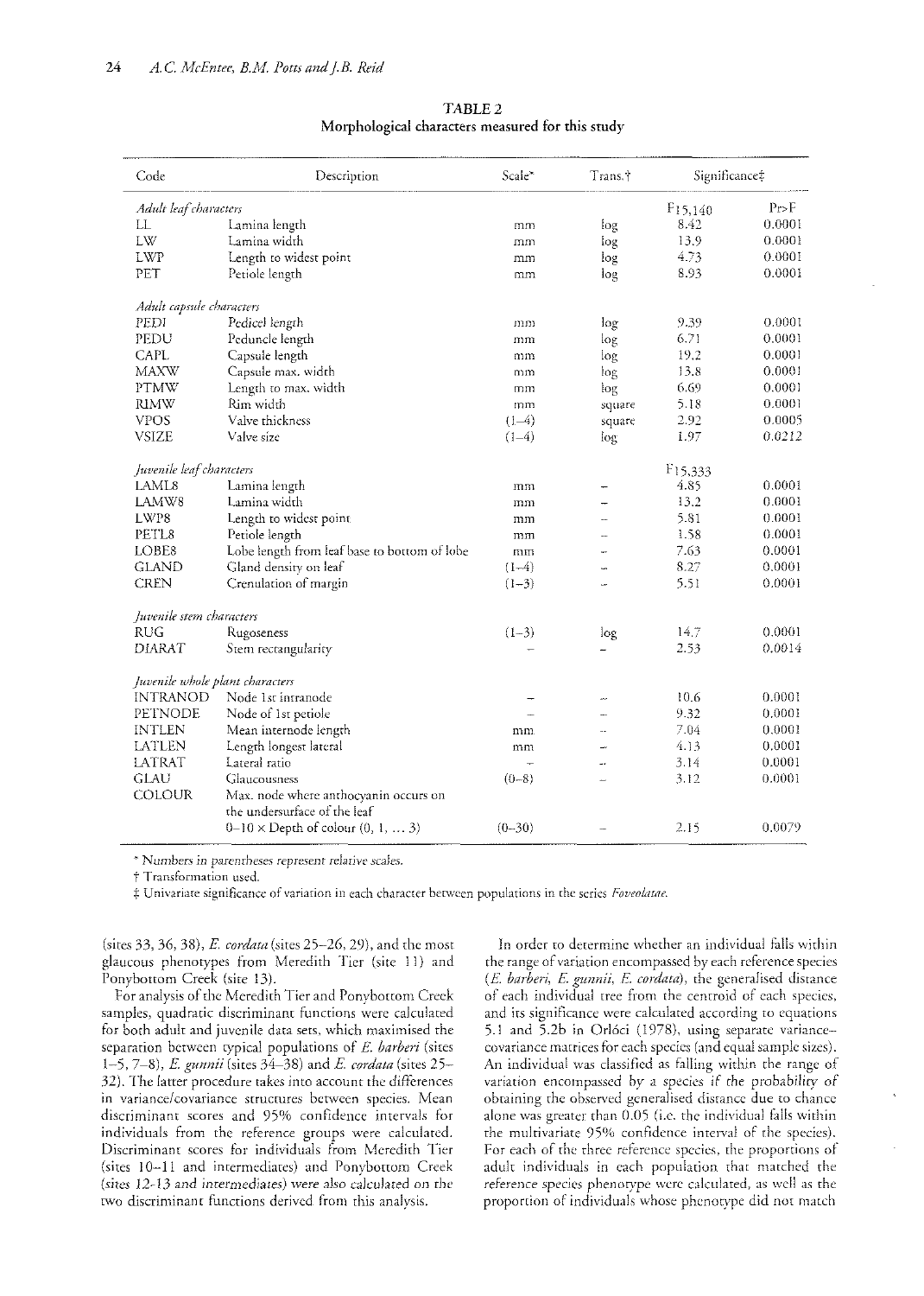| Code                            | Description                                  | Scale <sup>*</sup> | Trans.† | Significance‡        |        |
|---------------------------------|----------------------------------------------|--------------------|---------|----------------------|--------|
| Adult leaf characters           |                                              |                    |         | F15,140              | Pr > F |
| LL                              | Lamina length                                | mm                 | log     | 8.42                 | 0.0001 |
| LW                              | Lamina width                                 | mm                 | log     | 13.9                 | 0.0001 |
| <b>LWP</b>                      | Length to widest point                       | mm                 | log     | 4.73                 | 0.0001 |
| PET                             | Petiole length                               | mm                 | log     | 8.93                 | 0.0001 |
| Adult capsule characters        |                                              |                    |         |                      |        |
| PEDI                            | Pedicel length                               | mm                 | log     | 9.39                 | 0.0001 |
| PEDU                            | Peduncle length                              | mm                 | log     | 6.71                 | 0.0001 |
| <b>CAPL</b>                     | Capsule length                               | mm                 | log     | 19.2                 | 0.0001 |
| <b>MAXW</b>                     | Capsule max. width                           | mm                 | log     | 13.8                 | 0.0001 |
| <b>PTMW</b>                     | Length to max. width                         | mm                 | log     | 6.69                 | 0.0001 |
| <b>RIMW</b>                     | Rim width                                    | mm                 | square  | 5.18                 | 0.0001 |
| <b>VPOS</b>                     | Valve thickness                              | $(1-4)$            | square  | 2.92                 | 0.0005 |
| <b>VSIZE</b>                    | Valve size                                   | $(1-4)$            | log     | 1.97                 | 0.0212 |
| Juvenile leaf characters        |                                              |                    |         | F <sub>15</sub> ,333 |        |
| LAML8                           | Lamina length                                | mm                 |         | 4.85                 | 0.0001 |
| LAMW8                           | Lamina width                                 | mm                 |         | 13.2                 | 0.0001 |
| LWP8                            | Length to widest point                       | mm                 |         | 5.81                 | 0.0001 |
| PETL8                           | Petiole length                               | mm                 |         | 1.58                 | 0.0001 |
| LOBE <sub>8</sub>               | Lobe length from leaf base to bottom of lobe | mm                 |         | 7.63                 | 0.0001 |
| <b>GLAND</b>                    | Gland density on leaf                        | $(1-4)$            |         | 8.27                 | 0.0001 |
| <b>CREN</b>                     | Crenulation of margin                        | $(1-3)$            |         | 5.51                 | 0.0001 |
| Juvenile stem characters        |                                              |                    |         |                      |        |
| <b>RUG</b>                      | Rugoseness                                   | $(1-3)$            | log     | 14.7                 | 0.0001 |
| <b>DIARAT</b>                   | Stem rectangularity                          |                    |         | 2.53                 | 0.0014 |
| Juvenile whole plant characters |                                              |                    |         |                      |        |
| <b>INTRANOD</b>                 | Node 1st intranode                           |                    |         | 10.6                 | 0.0001 |
| PETNODE                         | Node of 1st petiole                          |                    |         | 9.32                 | 0.0001 |
| <b>INTLEN</b>                   | Mean internode length                        | mm.                |         | 7.04                 | 0,0001 |
| LATLEN                          | Length longest lateral                       | mm                 |         | 4.13                 | 0.0001 |
| LATRAT                          | Lateral ratio                                |                    |         | 3.14                 | 0.0001 |
| <b>GLAU</b>                     | Glaucousness                                 | $(0-8)$            | L.      | 3.12                 | 0.0001 |
| COLOUR                          | Max. node where anthocyanin occurs on        |                    |         |                      |        |
|                                 | the undersurface of the leaf                 |                    |         |                      |        |
|                                 | $0-10 \times$ Depth of colour $(0, 1,  3)$   | $(0 - 30)$         |         | 2.15                 | 0.0079 |

TABLE 2 **Morphological** characters **measured** for **this** study

*<sup>1</sup>'- Numbers in parentheses represent* relative scaJes.

t Transformation used.

:1= Univariate significance of variation in each character between populations in the series *Foveo/£lftle.* 

(sites 33, 36, 38), *E. cordata* (sites 25–26, 29), and the most glaucous phenotypes from Meredith Tier (site 11) and Ponybottom Creek (site 13).

For analysis of the Meredith Tier and Ponybottom Creek samples, quadratic discriminant functions were calculated for both adult and juvenile data sets, which maximised the separation between typical populations of *E. barberi* (sites *1-5,7-8), E gunnii* (sites 34-38) and *E cordata* (sites 25- 32). The latter procedure takes into account the differences in variance/covariance structures between species. Mean discriminant scores and 95% confidence intervals for individuals from the reference groups were calculated. Discriminant scores for individuals from Meredith Tier (sites 10-11 and intermediates) and Ponybottom Creek *(sites* 12-13- and imermediates) were also calculated on rhe two discriminant functions derived from this analysis.

In order to determine whether an individual falls within the range of variation encompassed by each reference species *(E barberi, E gunnii, E. cordata),* the generalised distance of each individual tree from the centroid of each species, and irs significance were calculated according to equations 5.1 and 5.2b in Orl6ci (1978), using separate variancecovariance matrices for each species (and equal sample sizes). An individual was classified as falling within the range of variation encompassed by a species if the probability of obtaining the observed generalised distance due to chance alone was greater than 0.05 (i.e. the individual falls within the multivariate 95% confldence interval of the species). For each of the three reference species, the proportions of adult individuals in each population that matched the reference species phenotype were calculated, as well as the proportion of individuals whose phenotype did not match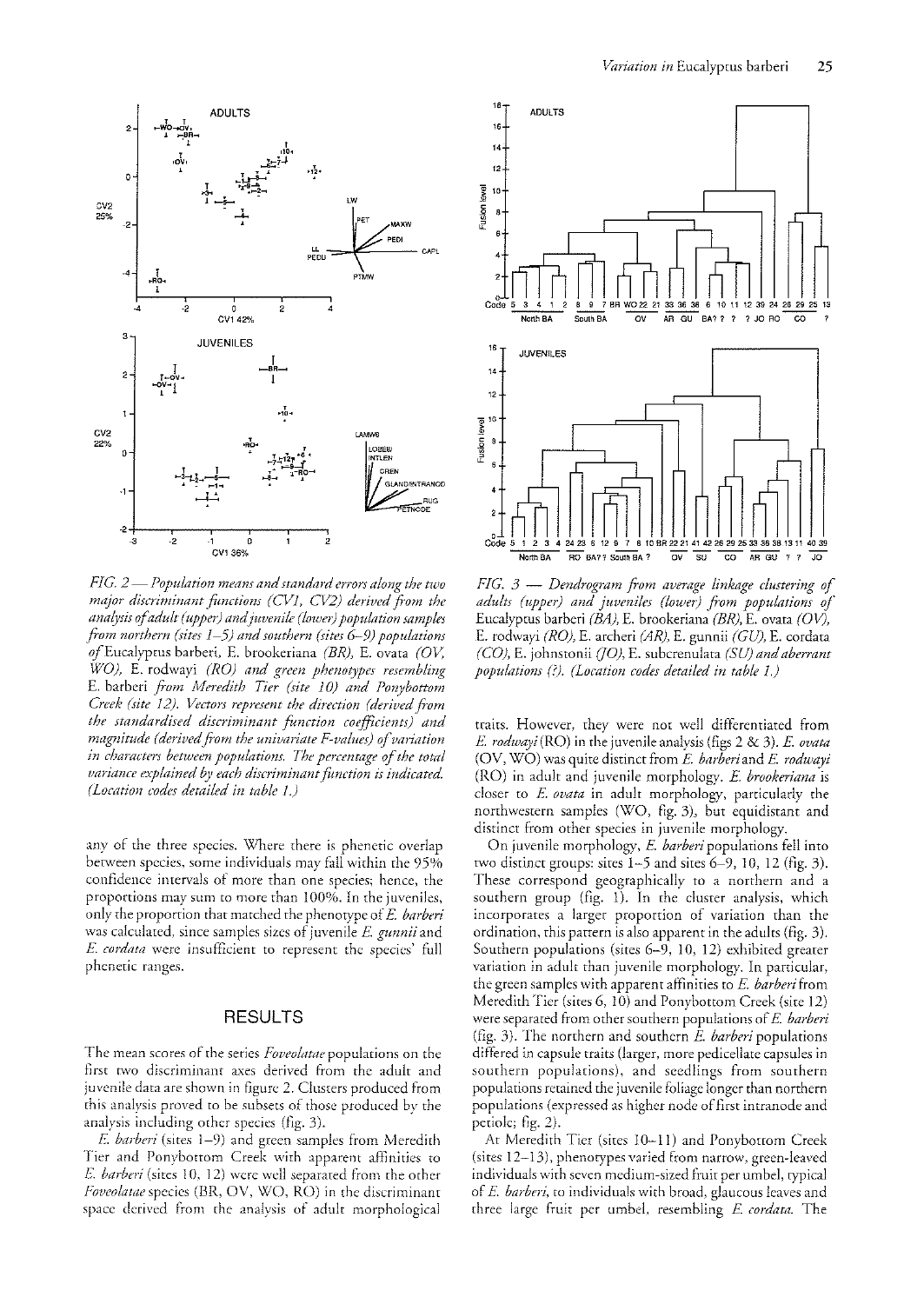

RUC<br>PETNODE

 $-2$   $-1$   $-1$   $-1$   $-1$   $-1$   $-2$ .<br>CV1.36% 그<br>2 *FIG. 2* — *Population means and standard errors along the two* major discriminant functions (CV1, CV2) derived from the *anal)'Sis of adult (upper) and juvenile (lawn) population samples ji-om northern (sites* 1-5) *and southern (sites* 6-9) *populations of* Eucalyptus barberi, E. brookeriana *(BR),* E. ovata *(OV;*  WO), E. rodwayi (RO) and green phenotypes resembling E. barberi *pam Meredith Tier (site 10) and Ponybottom Creek (site* 12). *Vectors represent the direction (derived from the standardised discriminant fonction coefficients) and magnitude (derived from the univariate F-vaftm) of variation in characters between populations. The percentage of the total variance explained by each discriminant function is indicated.* 

~ 1 <sup>~</sup>- .... 1 ....

*(Location codes detailed in table* I.)

~

any of the three species. Where there is phenetic overlap between species, some individuals may fall within the  $95\%$ confidence intervals of more than one species; hence, the proportions may sum to more than 100%. In the juveniles, only the proportion that matched the phenotype of E. *barberi*  was calculated, since samples sizes of juvenile *E gurmii* and *E cordata* 'were insufficient to represent the species' full phenetic ranges.

### RESULTS

The mean scores of the series *Foveolatae* populations on the first two discriminant axes derived from the adult and juvenile data are shown in figure 2. Clusters produced from this analysis proved to be subsets of those produced by the analysis including other species (fig. 3).

*E. barberi* (sites 1-9) and green samples from Meredith Tier and Ponybottom Creek with apparent affinities to *E. barberi* (sites 10, 12) were well separated from the other *Foveolatae* species (BR, OV, WO, RO) in the discriminant space derived from the analysis of adult morphological



*FIG.* 3 - *Dendrogram from average linkage clustering of*  adults (upper) and juveniles (lower) from populations of Eucalyptus barberi *(BA)*, E. brookeriana *(BR)*, E. ovata *(OV)*, E. rodwayi *(RO),* E. archeri *(AR),* E. gunnii *(GU),* E. cordata *(CO),* E. johnsronii *UO),* E. subcrenulata (SU) *and aberrant populatiom* (?). *(Location codes detailed in table 1.)* 

traits. However, they were not well differentiated from *E rodwa)!i* (RO) in the juvenile analysis (figs 2 & 3). *E ovata*  (OV, WO) was quite distinct from *E barberiand E rodwayi*  (RO) in adult and juvenile morphology. *E brookeriana* is closer to *E ovata* in adult morphology, particularly the northwestern samples (WO, fig. 3), but equidistant and distinct from other species in juvenile morphology.

On juvenile morphology, *E barberi* populations fell into two distinct groups: sites 1-5 and sites 6-9, 10, 12 (fig. 3). These correspond geographically to a northern and a southern group (fig. 1). In the cluster analysis, which incorporates a larger proportion of variation than the ordination, this pattern is also apparent in the adults (fig. 3). Southern populations (sites 6-9, 10, 12) exhibited greater variation in adult than juvenile morphology. In particular, the green samples with apparent affinities to *E. barberi* from Meredith Tier (sites 6, 10) and Ponybottom Creek (site 12) were separated from other southern populations of *E barberi*  (fIg. 3). The northern and southern *E barberi* populations differed in capsule traits (larger, more pedicellate capsules in southern populations), and seedlings from southern populations retained the juvenile foliage longer than northern populations (expressed as higher node of first intranode and petiole; fig. 2).

At Meredith Tier (sites 10-11) and Ponybottom Creek (sites 12-13), phenotypes varied from narrow, green-leaved individuals with seven medium-sized fruit per umbel, typical of *E barberi,* to individuals with broad, glaucous leaves and three large Fruit per umbel, resembling *E cordata.* The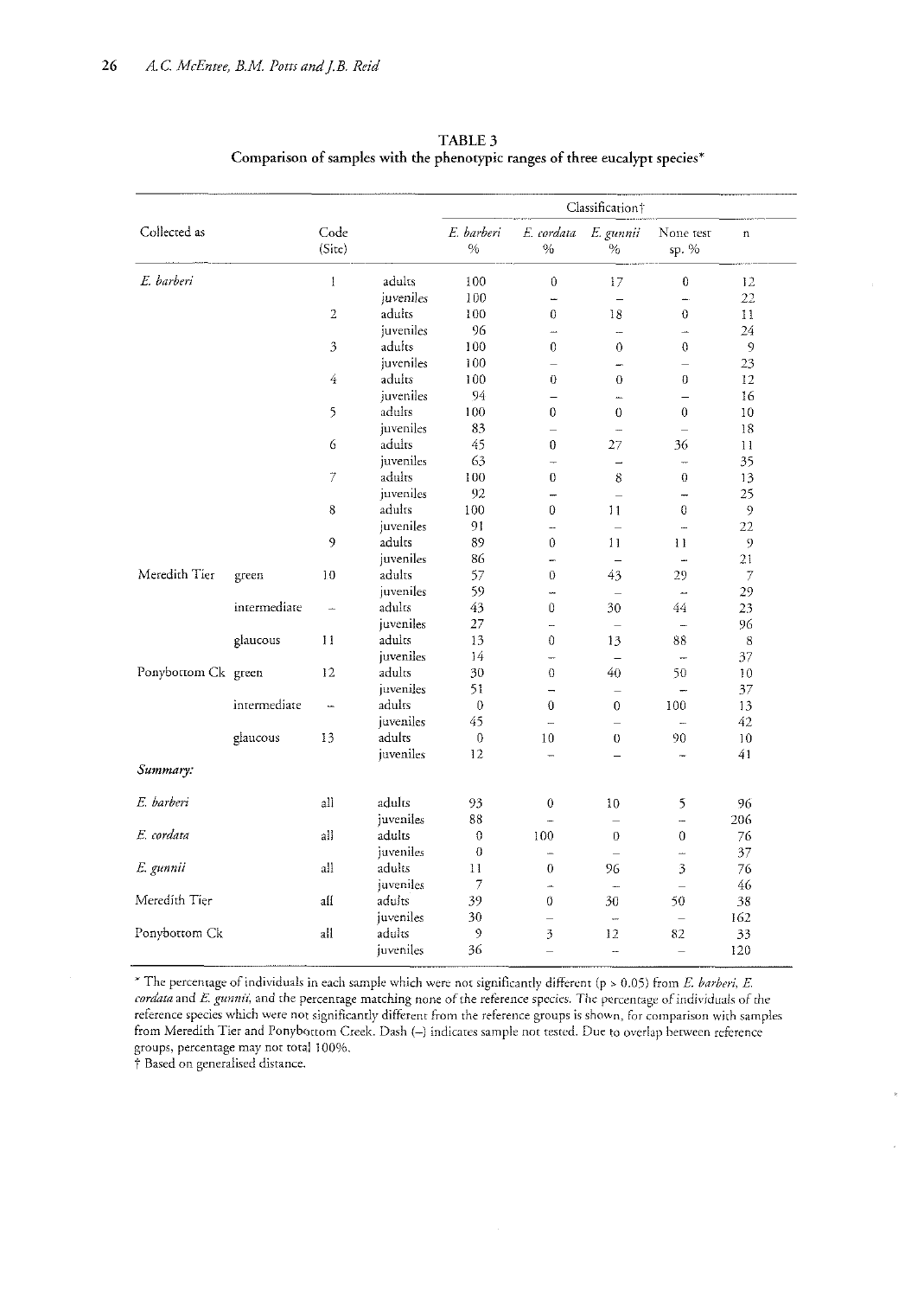|                     |              |                          |           | Classification†    |                          |                          |                          |                          |  |
|---------------------|--------------|--------------------------|-----------|--------------------|--------------------------|--------------------------|--------------------------|--------------------------|--|
| Collected as        |              | Code<br>(Site)           |           | E. barberi<br>$\%$ | E. cordata<br>$\%$       | E. gunnii<br>$\%$        |                          | $\mathfrak n$            |  |
| E. harberi          |              | $\mathbf{1}$             | adults    | 100                | 0                        | 17                       | $\theta$                 | 12                       |  |
|                     |              |                          | juveniles | 100                | $\overline{a}$           |                          | ц.                       | 22                       |  |
|                     |              | $\overline{2}$           | adults    | 100                | 0                        | 18                       | $\theta$                 | 11                       |  |
|                     |              |                          | juveniles | 96                 | <b></b>                  | ---                      | u.                       | 24                       |  |
|                     |              | 3                        | aduits    | 100                | $\theta$                 | $\mathbf 0$              | $\theta$                 | 9                        |  |
|                     |              |                          | juveniles | 100                | $\overline{\phantom{0}}$ |                          | $\equiv$                 | 23                       |  |
|                     |              | $\overline{4}$           | adults    | 100                | $\theta$                 | 0                        | $\theta$                 | 12                       |  |
|                     |              |                          | juveniles | 94                 | $=$                      |                          |                          | 16                       |  |
|                     |              | 5                        | adults    | 100                | 0                        | $\theta$                 | $\Omega$                 | 10                       |  |
|                     |              |                          | juveniles | 83                 | $\equiv$                 | ш.                       | $\equiv$                 | 18                       |  |
|                     |              | $\epsilon$               | adults    | 45                 | 0                        | 27                       | 36                       | $\mathbf{1}$             |  |
|                     |              |                          | juveniles | 63                 | $\overline{\phantom{a}}$ | $\overline{\phantom{0}}$ | ÷                        | 35                       |  |
|                     |              | $\overline{\mathcal{T}}$ | adults    | 100                | 0                        | 8                        | $\overline{0}$           | 13                       |  |
|                     |              |                          | juveniles | 92                 |                          | $\equiv$                 | $\overline{\phantom{0}}$ | 25                       |  |
|                     |              | 8                        | adults    | 100                | 0                        | 11                       | 0                        | $\overline{9}$           |  |
|                     |              |                          | juveniles | 91                 | <u></u>                  | $\frac{1}{2}$            | $\overline{a}$           | 22                       |  |
|                     |              | 9                        | adults    | 89                 | 0                        | 11                       | 11                       | 9                        |  |
|                     |              |                          | juveniles | 86                 | -                        | $\overline{a}$           | $\overline{\phantom{a}}$ | 21                       |  |
| Meredith Tier       | green        | 10                       | adults    | 57                 | $\overline{0}$           | 43                       | 29                       | $\overline{\mathcal{I}}$ |  |
|                     |              |                          | juveniles | 59                 |                          | $\overline{\phantom{0}}$ | $\overline{a}$           | 29                       |  |
|                     | intermediate |                          | adults    | 43                 | $\Omega$                 | 30                       | 44                       | 23                       |  |
|                     |              |                          | juveniles | 27                 | $\overline{\phantom{a}}$ | $\overline{\phantom{0}}$ | $\overline{\phantom{a}}$ | 96                       |  |
|                     | glaucous     | 11                       | adults    | 13                 | $\theta$                 | 13                       | 88                       | 8                        |  |
|                     |              |                          | juveniles | 14                 | $\overline{\phantom{0}}$ | $\overline{a}$           | $\overline{\phantom{0}}$ | 37                       |  |
| Ponybottom Ck green |              | 12                       | adults    | 30                 | $\theta$                 | 40                       | 50                       | 10                       |  |
|                     |              |                          | juveniles | 51                 | $\overline{ }$           | $\overline{\phantom{0}}$ | $\overline{\phantom{a}}$ | 37                       |  |
|                     | intermediate |                          | adults    | $\theta$           | $\overline{0}$           | $\mathbf{0}$             | 100                      | 13                       |  |
|                     |              |                          | juveniles | 45                 | $\overline{ }$           | $\equiv$                 |                          | 42                       |  |
|                     | glaucous     | 13                       | adults    | 0                  | 10                       | 0                        | 90                       | 10                       |  |
| Summary:            |              |                          | juveniles | 12                 | $\overline{\phantom{0}}$ | $\overline{\phantom{0}}$ | ÷                        | 41                       |  |
| E. barberi          |              | all                      | adults    | 93                 | $\theta$                 | 10                       | 5                        | 96                       |  |
|                     |              |                          | juveniles | 88                 |                          | $\overline{\phantom{0}}$ |                          | 206                      |  |
| E. cordata          |              | all                      | adults    | $\boldsymbol{0}$   | 100                      | $\theta$                 | $\Omega$                 | 76                       |  |
|                     |              |                          | juveniles | $\theta$           | m.                       |                          | ÷,                       | 37                       |  |
| E. gunnii           |              | all                      | adults    | 11                 | $\theta$                 | 96                       | 3                        | 76                       |  |
|                     |              |                          | juveniles | 7                  | ÷,                       |                          |                          | 46                       |  |
| Meredith Tier       |              | all                      | adults    | 39                 | 0                        | 30                       | 50                       | 38                       |  |
|                     |              |                          | juveniles | 30                 | $\overline{\phantom{0}}$ | -                        | $\overline{\phantom{0}}$ | 162                      |  |
| Ponybottom Ck       |              | all                      | adults    | 9                  | 3                        | 12                       | 82                       | 33                       |  |
|                     |              |                          | juveniles | 36                 | $\overline{\phantom{0}}$ | <u></u>                  | $\overline{\phantom{0}}$ | 120                      |  |

TABLE 3 **Comparison of samples with the phenotypic ranges of three eucalypt species'"** 

\* The percentage of individuals in each sample which were not significantly different (p > 0.05) from *E. barberi*, *E. cordata* and E. gunnii, and the percentage matching none of the reference species. The percentage of individuals of the reference species which were not significantly different from the reference groups is shown, for comparison with samples from Meredith Tier and Ponybottom Creek. Dash (-) indicates sample not tested. Due to overlap between reference groups, percentage may not total 100%.

'1 Based on generalised distance.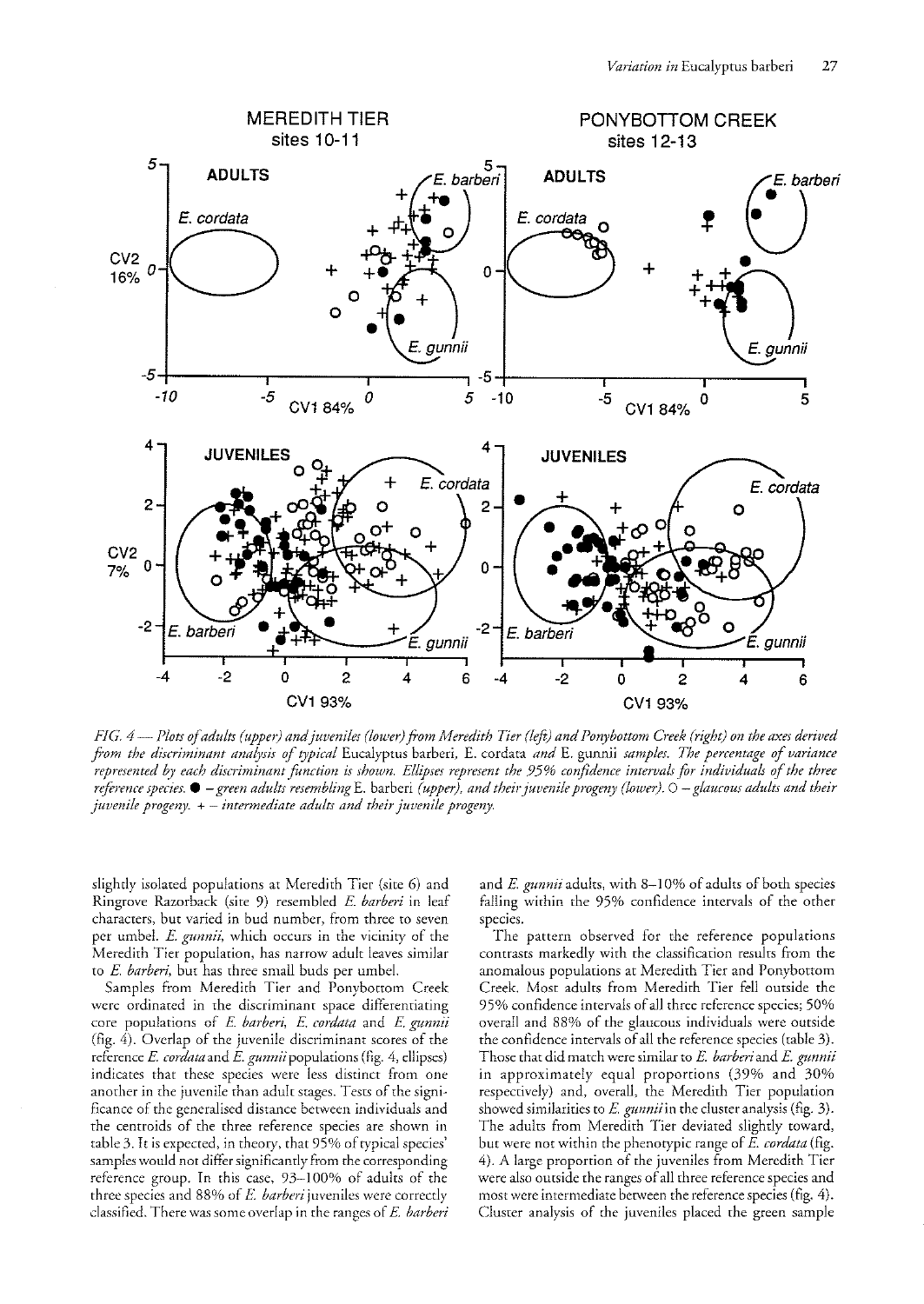

*FIG. 4* - *Plots of adults (upper) and juveniles (lower) from Meredith Tier (left) and Ponybottom Creek (right) on the axes derived from the discriminant analysis of typical* Eucalyptus barberi, E. cordata *and* E. gunnii *samples. The percentage of variance represented b)' each discriminant fUnction is shown. Ellipses represent the* 95% *confidence intervals for individuals of the three reference species.*  $\bullet$  – *green adults resembling* E. barberi *(upper), and their juvenile progeny (lower).*  $\circ$  – *glaucous adults and their juvenile progeny.* + - *intermediate adults and their juvenile progeny.* 

slightly isolated populations at Meredith Tier (site 6) and Ringrove Razorback (sire 9) resembled *E barberi* in leaf characters, but varied in bud number, from three to seven per umbel. *E. gunnii,* which occurs in the vicinity of the Meredith Tier population, has narrow adult leaves similar to *E. barberi,* but has three small buds per umbel.

Samples from Meredith Tier and Ponybottom Creek were ordinated in the discriminant space differentiating core populations of *E barberi, E cordata* and *E gunnii*  (fig. 4). Overlap of the juvenile discriminant scores of the reference *E. cordata* and *E. gunnii* populations (fig. 4, ellipses) indicates that these species were less distiner from one another in the juvenile than adult stages. Tests of the significance of the generalised distance between individuals and the centroids of the three reference species are shown in table 3. It is expected, in theory, that 95% of typical species' samples would not differ significanrly from the corresponding reference group. In this case, 93-100% of adults of the three species and 88% of *E barberi* juveniles were correctly classified. There was some overlap in the ranges of *E barberi* 

and *E gunnii* adults, with 8-10% of adults of both species falling within the 95% confidence intervals of the other species.

The pattern observed for the reference populations contrasts markedly with the classification results from the anomalous populations at Meredith Tier and Ponybottom Creek. Most adults from Meredith Tier fell outside the 95% confidence intervals of all three reference species; 50% overall and 88% of the glaucous individuals were outside the confldence intervals of all the reference species (table 3). Those that did match were similar to *E. barberi* and *E gunnii*  in approximately equal proportions (39% and 30% respectively) and, overall, the Meredith Tier population showed similarities to *E. gunnii* in the cluster analysis (fig. 3). The adults from Meredith Tier deviated slightly toward, but were not within the phenotypic range of *E cordata* (fig. 4). A large proportion of the juveniles from Meredith Tier were also outside the ranges of all three reference species and most were intermediate between the reference species (fig. 4). Cluster analysis of the juveniles placed the green sample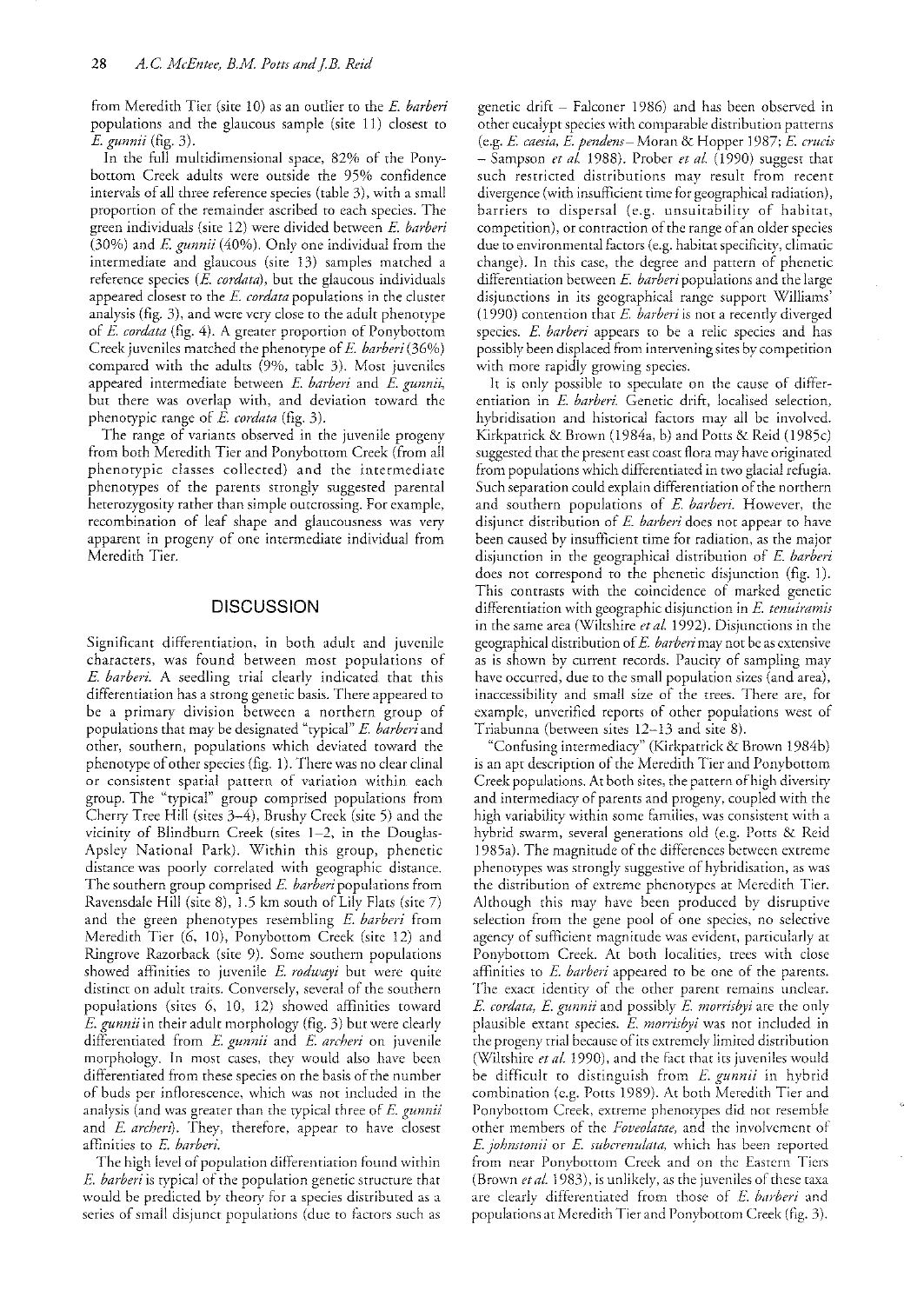from Meredith Tier (site 10) as an outlier to the *E barberi*  populations and the glaucous sample (site 11) closest to *E. gunnii* (fig. 3).

In the full multidimensional space, 82% of the Ponybottom Creek adults were outside the 95% confidence intervals of all three reference species (table 3), with a small proportion of the remainder ascribed to each species. The green individuals (sire 12) were divided between E. *barberi*  (30%) and E. *gunrlii* (40%). Only one individual from the intermediate and glaucous (sire 13) samples matched a reference species (E. cordata), but the glaucous individuals appeared closest to the *E. cordata* populations in the cluster analysis (fig. 3), and were very close to the adult phenotype of *E. cordata* (fig. 4). A greater proportion of Ponybottom Creek juveniles matched the phenotype of E *barberi* (36%) compared with the adults (9%, table 3). Most juveniles appeared intermediate between *E barberi* and *E gunnii,*  but there was overlap with, and deviation toward the phenotypic range of *E. cordata* (fig. 3).

The range of variants observed in the juvenile progeny from both Meredith Tier and Ponybottom Creek (from all phenotypic classes collected) and the intermediate phenotypes of the parents strongly suggested parental heterozygosity rather than simple outcrossing. For example, recombination of leaf shape and glaucousness was very apparent in progeny of one intermediate individual from Meredith Tier.

### **DISCUSSION**

Significant differentiation, in both adult and juvenile characters, was found between most populations of E. barberi. A seedling trial clearly indicated that this differentiation has a strong genetic basis. There appeared to be a primary division between a northern group of populations that may be designated "typical" *E. barberi* and other, southern, populations which deviated toward the phenotype of other species (fig. 1). There was no clear clinal or consistent spatial pattern of variation within each group. The "typical" group comprised populations from Cherry Tree Hill (sites 3-4), Brushy Creek (site 5) and the vicinity of Blindburn Creek (sites 1-2, in the Doughs-Apsley National Park). Within this group, phenetic distance was poorly correlated with geographic distance. The southern group comprised *E barberi* populations from Ravensdale Hill (site 8), 1.5 km south of Lily Flats (site 7) and the green phenotypes resembling *E. barberi* from Meredith Tier (6, 10), Ponybottom Creek (site 12) and Ringrove Razorback (site 9). Some southern populations showed affinities to juvenile *E. rodwayi* but were quite distinct on adult traits. Conversely, several of the southern populations (sites 6, 10, 12) showed affinities toward *E. gunnii* in their adult morphology (fig. 3) but were clearly differentiated from *E gunnii* and *E archeri* on juvenile morphology. In most cases, they would also have been differentiated from these species on the basis of the number of buds per inflorescence, which was not included in the analysis (and was greater than the typical three of E *gurmii*  and *E archen).* They, therefore, appear to have closest afflnities to *E. barberi.* 

The high level of population differentiation found within *E. barberi* is typical of the population genetic structure that would be predicted by theory for a species distributed as a series of small disjunct populations (due to factors such as genetic drift - Falconer 1986) and has been observed in other eucalypt species with comparable distribution patterns (e.g. *E caesia, E pendens-* Moran & Hopper 1987; *E. crucis*  - Sampson *et aL* 1988). Prober *et aL* (1990) suggest that such restricted distributions may result from recent divergence (with insufficient time for geographical radiation), barriers to dispersal (e.g. unsuitability of habitat, competition), or contraction of the range of an older species due to environmental factors (e.g. habitat specificity, climatic change). In this case, the degree and pattern of phenetic differentiation between E *barberi* populations and the large disjunctions in its geographical range support Williams' (1990) contention that *E. harberi* is not a recently diverged species. *E. barberi* appears to be a relic species and has possibly been displaced from intervening sites by competition with more rapidly growing species.

It is only possible to speculate on the cause of differentiation in *E. barberi.* Genetic drift, localised selection, hybridisation and historical factors may all be involved. Kirkpatrick & Brown (1984a, b) and Potts & Reid (1985c) suggested that the present east coast Hora may have originated from populations which differentiated in two glacial refugia. Such separation could explain differentiation of the northern and southern populations of *E. barberi.* However, the disjunct distribution of E *barberi* does not appear to have been caused by insufficient time for radiation, as the major disjunction in the geographical distribution of E *barberi*  does not correspond to the phenetic disjunction (fig. 1). This contrasts with the coincidence of marked genetic dificremiation with geographic disjunction in *E. tenuiramis*  in the same area (Wiltshire *et al.* 1992). Disjunctions in the geographical distribution of *E. barberi* may not be as extensive as is shown by current records. Paucity of sampling may have occurred, due to the small population sizes (and area), inaccessibility and small size of the trees. There are, for example, unverified reports of other populations west of Triabunna (between sites 12-13 and site 8).

"Confusing intermediacy" (Kirkpatrick & Brown 1984b) is an apt description of the Meredith Tier and Ponybottom Creek populations. At both sites, the panern of high diversity and intermediacy of parents and progeny, coupled with the high variability within some families, was consistent with a hybrid swarm, several generations old (e.g. Potts & Reid 1985a). The magnitude of the differences between exrreme phenotypes was strongly suggestive of hybridisation, as was the distribution of extreme phenotypes at Meredith Tier. Although this may have been produced by disruptive selection from the gene pool of one species, no selective agency of sufficient magnitude was evident, particularly at Ponybottom Creek. At both localities, trees with close affinities to *E. barberi* appeared to be one of the parents. The exact identity of the other parent remains unclear. *E. cordata, E gunnii* and possibly *F. morrisbyi* are the only plausible extant species. E. morrisbyi was not included in the progeny trial because of its extremely limited distribution (Wiltshire *et al.* 1990), and the fact that its juveniles would be difficult to distinguish from *E. gunnii* in hybrid combination (e.g. Potts 1989). At both Meredith Tier and Ponybottom Creek, extreme phenotypes did not resemble other members of the *Foveolatae,* and the involvement of *E. johnstonii* or *E. subcrenulata*, which has been reported from near Ponybottom Creek and on the Eastern Tiers (Brown *et al.* 1983), is unlikely, as the juveniles of these taxa are clearly differentiated from those of *E. barberi* and popularions at Meredith Tier and Ponybottom Creek (fig. 3).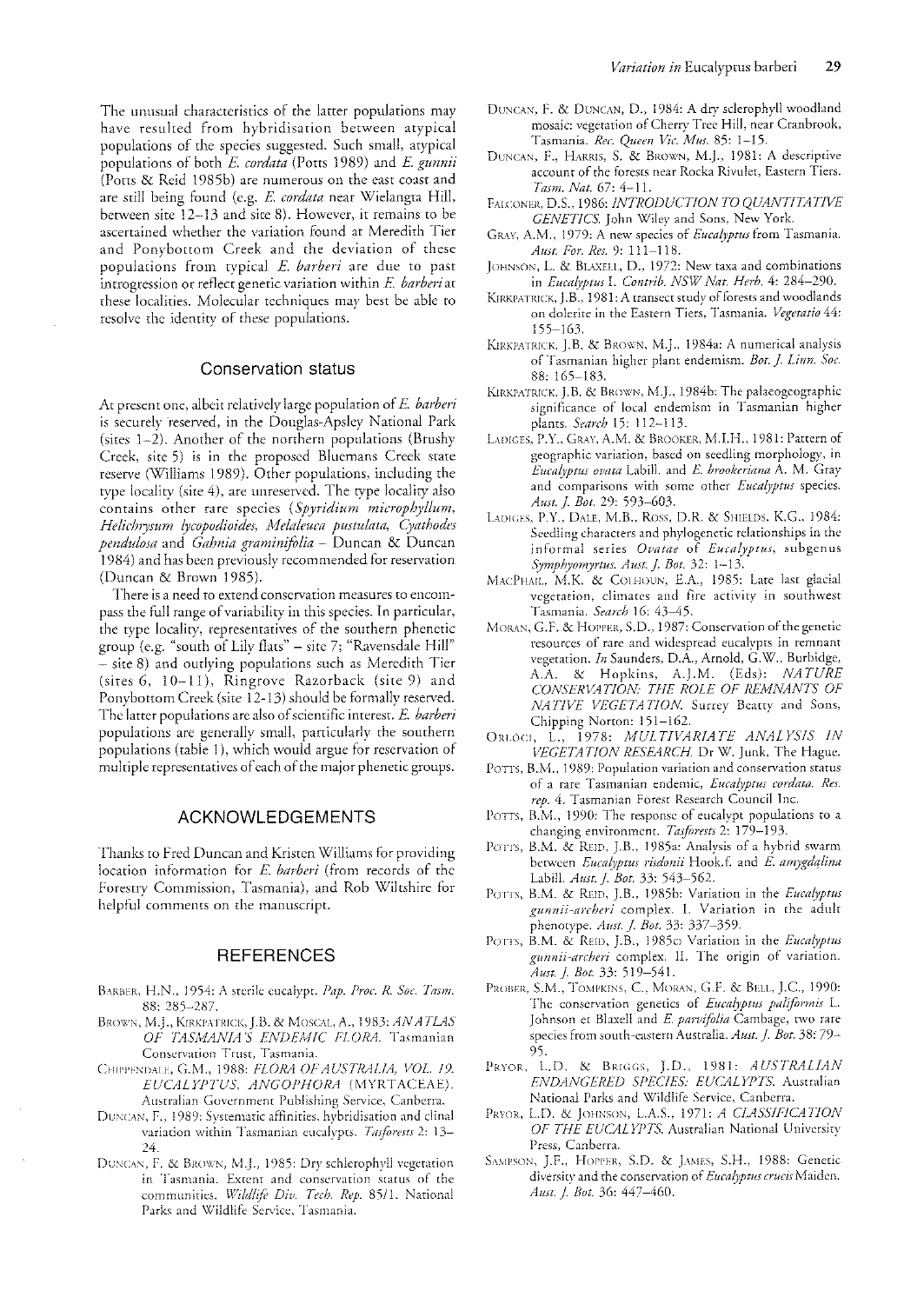The unusual characteristics of the latter populations may have resulted from hybridisation between atypical populations of the species suggested. Such small, atypical populations of both *E. cordata* (Potts 1989) and *E. gunnii* (Potts & Reid 1985b) are numerous on the east coast and are still being found (e.g. *E. cordata* near Wielangta Hill, between site  $12-13$  and site 8). However, it remains to be ascertained \vhether the variation found at Meredith Tier and Ponybottom Creek and the deviation of these populations from typical *E. barberi* are due to past introgression or reflect genetic variation within *E. barberi* at these localities. Molecular techniques may best be able to resolve the identity of these populations.

#### Conservation status

At present one, albeit relatively large population of E. *barberi* is securely reserved, in the Douglas-Apsley National Park (sites  $1-2$ ). Another of the northern populations (Brushy Creek, site 5) is in the proposed Blucmans Creek state reserve (Williams 1989). Other populations, including the type localicy (site 4), are unreserved. The type locality also contains other rare species (Spyridium microphyllum, *HelidllJ,sum 0!COpodioides, Melaleuca pustulala, Cyathodes pendulosa* and *Gahnia graminifolia* - Duncan & Duncan 1984) and has been previously recommended for reservation (Duncan & Brown 1985).

There is a need to extend conservation measures to encompass the full range of variability in this species. In particular, the type locality, representatives of the southern phenetic group (e.g. "south of Lily flats" - site 7; "Ravensdale Hill" - sire 8) and outlying populations such as Meredith Tier (sites 6, 10-11), Ringrove Razorback (site 9) and Ponybottom Creek (site 12-13) should be formally reserved. The latter populations are also of scientific interest. *E. barberi* populations arc generally small, particularly the southern populations (table 1), which would argue for reservation of multiple representatives of each of the major phenetic groups.

#### ACKNOWLEDGEMENTS

Thanks to fred Duncan and Kristen Williams for providing location information for E *barberi* (from records of the forestry Commission, Tasmania), and Rob Wiltshire for helpful comments on the manuscript.

# **REFERENCES**

- BARBER, H.N., 1954: A sterile eucalypt. Pap. Proc. R. Soc. Tasm. 88: 285-287.
- BROWN, M.J., KIRKPATRICK, J.B. & MOSCAL, A., 1983; **AN ATLAS** *OF TASMANIA'S ENDEMIC FLORA*. Tasmanian Conservation Trust, Tasmania.
- CHIPPENDALE, G.M., 1988: *FLORA OF AUSTRALIA, VOL. 19. EUC/lLYPTUS, ANGOPHORA* (MYRTACEAE). Australian Government Publishing Service, Canberra.
- DUNCAN, F., 1989: Systematic affinities, hybridisation and clinal variation within Tasmanian eucalypts. *Tasforests* 2: 13-24.
- DUNCAN, F. & BROWN, M.J., 1985: Dry schlerophyll vegetation in Tasmania. Extent and conservation status of the communities. Wildlife Div. Tech. Rep. 85/1. National Parks and Wildlife Service, Tasmania.
- DUNCAN, F. & DUNCAN, D., 1984: A dry sclerophyll woodland mosaic: vegetation of Cherry Tree Hill, near Cranbrook, Tasmania. *ReI'. Queen Vic. /lius.* 85: 1-15.
- DUNCAN, F., HARRIS, S. & BROWN, M.J., 1981: A descriptive account of the forests near Rocka Rivulet, Eastern Tiers. *Tmm. Nat.* 67: 4-11.
- FALCONER, D.S., 1986; *INTRODUCTION TO QUANTITATIVE* GENETICS. John Wiley and Sons, New York.
- GRW, A.M., 1979: A new species of *Eucalyptus* from Tasmania. *AWl. For. Res.* 9: 111-118.
- JOHNSON, L. & BLAXELL, D., 1972: New taxa and combinations in *Eucalyptus I. Contrib. NSW Nat. Herb.* 4: 284-290.
- KIRKPATRICK, J.B., 1981: A transect study of forests and woodlands on dolerite in the Eastern Tiers, Tasmania. *Vegetatio 44:*  155-165.
- KIRKPATRICK, J.B. & BROWN, M.J., 1984a; A numerical analysis of Tasmanian higher plant endemism. *Bot. J. Linn. Soc.* 88,165-183.
- KIRKPATRICK, J.B. & BROWN, M.J., 1984b: The palaeogeographic significance of local endemism in Tasmanian higher plants. *Search* 15: 112-113.
- LADIGES, P.Y., GRAY, A.M. & BROOKER, M.I.H., 1981: Pattern of geographic variation, based on seedling morphology, in *Euca0ptus oMta* Labill. and E. *brookeriana* A. M. Gray and comparisons with some other *Eucalyptus* species. *Aust.* j. *Bot.* 29: 593-603.
- LADIGES, P.Y., DALE, M.B., ROSS, D.R. & SHIELDS, K.G., 1984: Seedling characters and phylogenetic relationships in the informal series *Ovatae* of *Eucalyptus*, subgenus *Symphyomyrtus. Aust. J. Bot.* 32: 1-13.
- MACPHAIL, M.K. & COLHOUN, E.A., 1985: Late last glacial vegetation, climates and fire activity in southwest Tasmania. *Search* 16: 43--45.
- MORAN, G.F. & HOPPER, S.D., 1987: Conservation of the genetic resources of rare and widespread eucalypts in remnant vegetation. *In* Saunders, D.A., Arnold, C.W., Burbidge, A.A. & Hopkins, A.J.M. (Eds): *NATURE CONStRVATION THE ROLE OF REMNANTS OF NATIVE VEGETATION*. Surrey Beatty and Sons, Chipping Norton: 151-162.
- ORLÓCI, L., 1978: *MULTIVARIATE ANALYSIS IN VEGETATION RESEARCH*. Dr W. Junk, The Hague.
- POTTS, B.M., 1989: Population variation and conservation status of a rare Tasmanian endemic, *Eucalyptus cordata. Res. rep.* 4. Tasmanian Forest Research Council Inc.
- POTTS, B.M., 1990: The response of eucalypt populations to a changing environment. *Tasforests* 2: 179-193.
- POTTS, B.M. & REID, J.B., 1985a: Analysis of a hybrid swarm between *Eucalyptus risdonii* Hook.f. and *E. amygdalina* Labill. *Aust.}. Bot.* 33: 543-562.
- POTTS, B.M. & REID, J.B., 1985b: Variation in the *Eucalyptus gunnii-archeri* complex. 1. Variation in the adult phenotype. *Aust.* j. *Bot.* 33: 337-359.
- POTTS, B.M. & REID, J.B., 1985c: Variation in the *Eucalyptus gllnnii-archeri* complex. II. The origin of variation. *Awt.}. Bet.* 33, 519-54l.
- PROBER, S.M., TOMPKINS, C., MORAN, G.F. & BELL, J.C., 1990: The conservation genetics of *Euca£yptus pdiformis* L. Johnson et Blaxell and E. parvifolia Cambage, two rare species from south-eastern Australia. *Aust. J. Bot.* 38: 79-95.
- PRYOR, L.D. & BRIGGS, J.D., 1981: *AUSTRALIAN EiVDANGERED SPECIES: EUCALYPlS.* Australian National Parks and Wildlife Service, Canberra.
- PRYOR, L.D. & JOHNSON, L.A.S., 1971: *A CLASSIFICATION OF THE EUCALYPTS.* Australian National University Press, Canberra.
- SAMPSON, J.F., HOPPER, S.D. & JAMES, S.H., 1988: Genetic diversity and the conservation of *Eucalyptus crucis* Maiden. Aust. *J. Bot.* 36: 447-460.